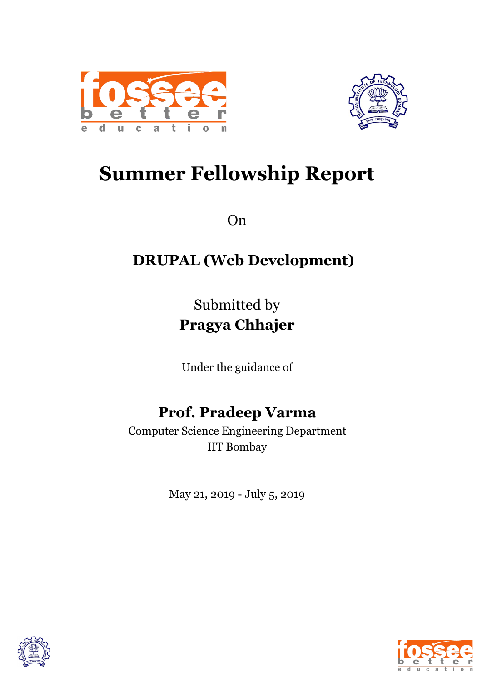



# **Summer Fellowship Report**

On

# **DRUPAL (Web Development)**

Submitted by **Pragya Chhajer**

Under the guidance of

# **Prof. Pradeep Varma**

Computer Science Engineering Department IIT Bombay

May 21, 2019 - July 5, 2019



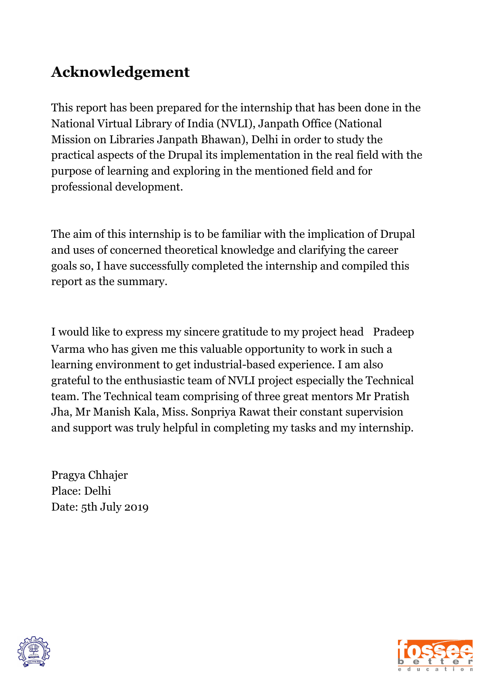# **Acknowledgement**

This report has been prepared for the internship that has been done in the National Virtual Library of India (NVLI), Janpath Office (National Mission on Libraries Janpath Bhawan), Delhi in order to study the practical aspects of the Drupal its implementation in the real field with the purpose of learning and exploring in the mentioned field and for professional development.

The aim of this internship is to be familiar with the implication of Drupal and uses of concerned theoretical knowledge and clarifying the career goals so, I have successfully completed the internship and compiled this report as the summary.

I would like to express my sincere gratitude to my project head Pradeep Varma who has given me this valuable opportunity to work in such a learning environment to get industrial-based experience. I am also grateful to the enthusiastic team of NVLI project especially the Technical team. The Technical team comprising of three great mentors Mr Pratish Jha, Mr Manish Kala, Miss. Sonpriya Rawat their constant supervision and support was truly helpful in completing my tasks and my internship.

Pragya Chhajer Place: Delhi Date: 5th July 2019



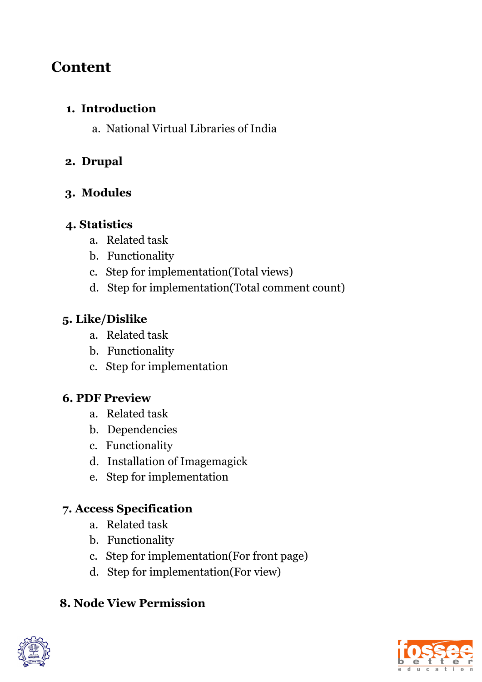# **Content**

#### **1. Introduction**

a. National Virtual Libraries of India

### **2. Drupal**

### **3. Modules**

### **4. Statistics**

- a. Related task
- b. Functionality
- c. Step for implementation(Total views)
- d. Step for implementation(Total comment count)

## **5. Like/Dislike**

- a. Related task
- b. Functionality
- c. Step for implementation

# **6. PDF Preview**

- a. Related task
- b. Dependencies
- c. Functionality
- d. Installation of Imagemagick
- e. Step for implementation

# **7. Access Specification**

- a. Related task
- b. Functionality
- c. Step for implementation(For front page)
- d. Step for implementation(For view)

# **8. Node View Permission**



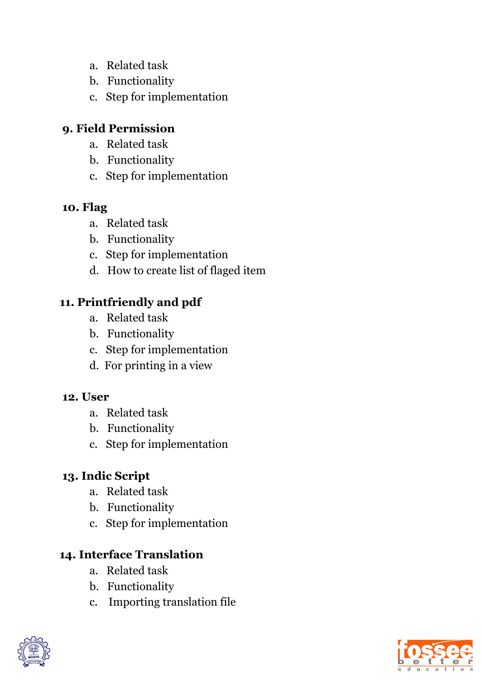- a. Related task
- b. Functionality
- c. Step for implementation

### **9. Field Permission**

- a. Related task
- b. Functionality
- c. Step for implementation

#### **10. Flag**

- a. Related task
- b. Functionality
- c. Step for implementation
- d. How to create list of flaged item

## **11. Printfriendly and pdf**

- a. Related task
- b. Functionality
- c. Step for implementation
- d. For printing in a view

#### **12. User**

- a. Related task
- b. Functionality
- c. Step for implementation

## **13. Indic Script**

- a. Related task
- b. Functionality
- c. Step for implementation

## **14. Interface Translation**

- a. Related task
- b. Functionality
- c. Importing translation file



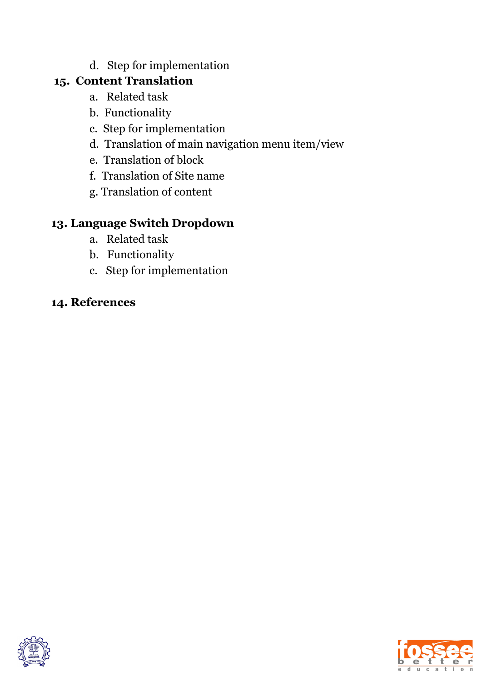d. Step for implementation

### **15. Content Translation**

- a. Related task
- b. Functionality
- c. Step for implementation
- d. Translation of main navigation menu item/view
- e. Translation of block
- f. Translation of Site name
- g. Translation of content

## **13. Language Switch Dropdown**

- a. Related task
- b. Functionality
- c. Step for implementation

### **14. References**



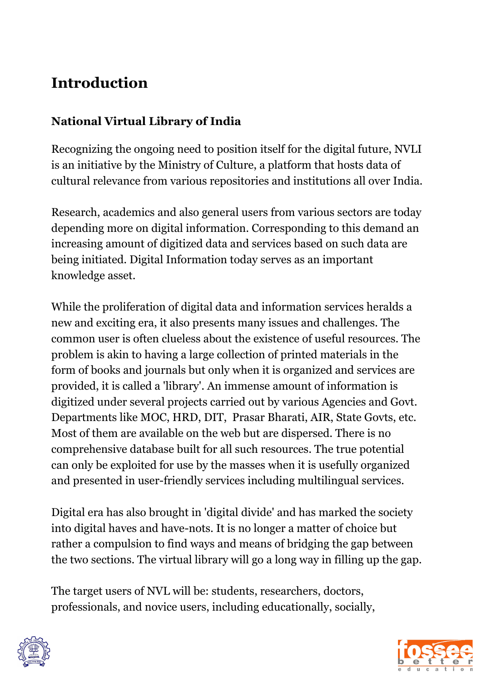# **Introduction**

## **National Virtual Library of India**

Recognizing the ongoing need to position itself for the digital future, NVLI is an initiative by the Ministry of Culture, a platform that hosts data of cultural relevance from various repositories and institutions all over India.

Research, academics and also general users from various sectors are today depending more on digital information. Corresponding to this demand an increasing amount of digitized data and services based on such data are being initiated. Digital Information today serves as an important knowledge asset.

While the proliferation of digital data and information services heralds a new and exciting era, it also presents many issues and challenges. The common user is often clueless about the existence of useful resources. The problem is akin to having a large collection of printed materials in the form of books and journals but only when it is organized and services are provided, it is called a 'library'. An immense amount of information is digitized under several projects carried out by various Agencies and Govt. Departments like MOC, HRD, DIT, Prasar Bharati, AIR, State Govts, etc. Most of them are available on the web but are dispersed. There is no comprehensive database built for all such resources. The true potential can only be exploited for use by the masses when it is usefully organized and presented in user-friendly services including multilingual services.

Digital era has also brought in 'digital divide' and has marked the society into digital haves and have-nots. It is no longer a matter of choice but rather a compulsion to find ways and means of bridging the gap between the two sections. The virtual library will go a long way in filling up the gap.

The target users of NVL will be: students, researchers, doctors, professionals, and novice users, including educationally, socially,



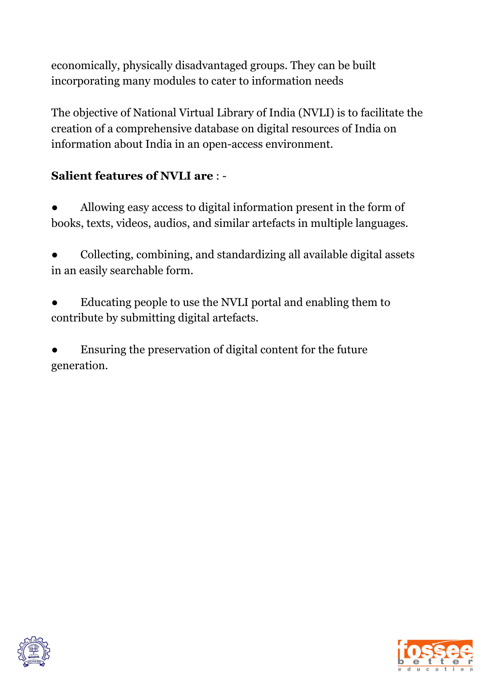economically, physically disadvantaged groups. They can be built incorporating many modules to cater to information needs

The objective of National Virtual Library of India (NVLI) is to facilitate the creation of a comprehensive database on digital resources of India on information about India in an open-access environment.

## **Salient features of NVLI are** : -

Allowing easy access to digital information present in the form of books, texts, videos, audios, and similar artefacts in multiple languages.

● Collecting, combining, and standardizing all available digital assets in an easily searchable form.

Educating people to use the NVLI portal and enabling them to contribute by submitting digital artefacts.

Ensuring the preservation of digital content for the future generation.



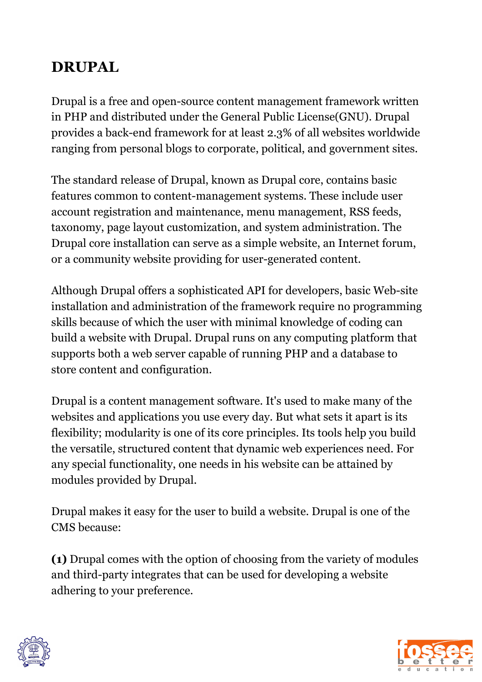# **DRUPAL**

Drupal is a free and open-source content management framework written in PHP and distributed under the General Public License(GNU). Drupal provides a back-end framework for at least 2.3% of all websites worldwide ranging from personal blogs to corporate, political, and government sites.

The standard release of Drupal, known as Drupal core, contains basic features common to content-management systems. These include user account registration and maintenance, menu management, RSS feeds, taxonomy, page layout customization, and system administration. The Drupal core installation can serve as a simple website, an Internet forum, or a community website providing for user-generated content.

Although Drupal offers a sophisticated API for developers, basic Web-site installation and administration of the framework require no programming skills because of which the user with minimal knowledge of coding can build a website with Drupal. Drupal runs on any computing platform that supports both a web server capable of running PHP and a database to store content and configuration.

Drupal is a content management software. It's used to make many of the websites and applications you use every day. But what sets it apart is its flexibility; modularity is one of its core principles. Its tools help you build the versatile, structured content that dynamic web experiences need. For any special functionality, one needs in his website can be attained by modules provided by Drupal.

Drupal makes it easy for the user to build a website. Drupal is one of the CMS because:

**(1)** Drupal comes with the option of choosing from the variety of modules and third-party integrates that can be used for developing a website adhering to your preference.



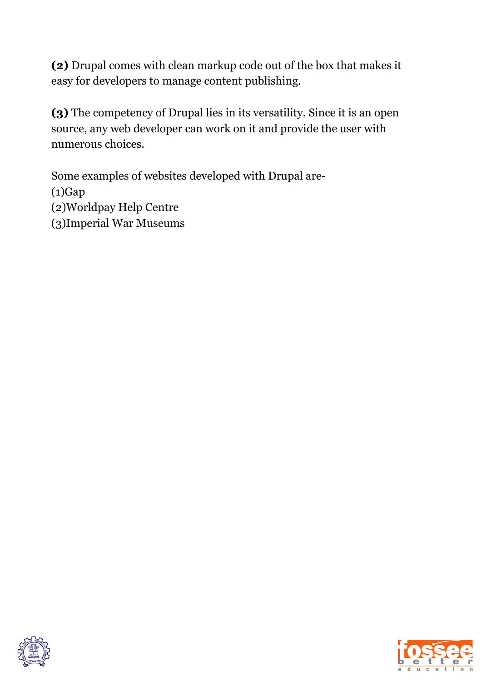**(2)** Drupal comes with clean markup code out of the box that makes it easy for developers to manage content publishing.

**(3)** The competency of Drupal lies in its versatility. Since it is an open source, any web developer can work on it and provide the user with numerous choices.

Some examples of websites developed with Drupal are-  $(1)$ Gap (2)Worldpay Help Centre (3)Imperial War Museums



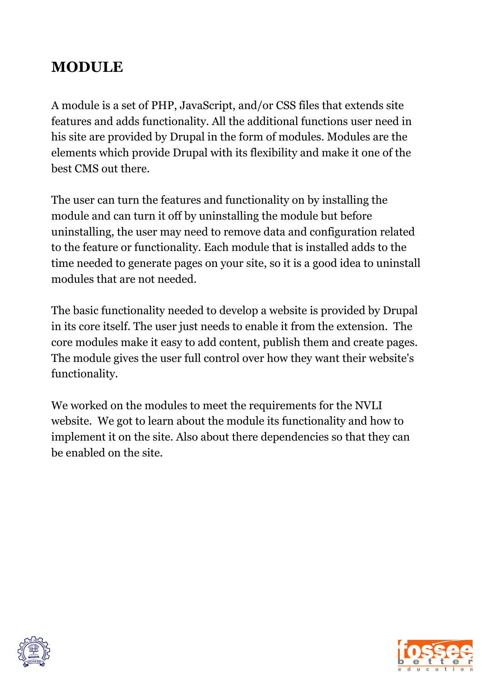# **MODULE**

A module is a set of PHP, JavaScript, and/or CSS files that extends site features and adds functionality. All the additional functions user need in his site are provided by Drupal in the form of modules. Modules are the elements which provide Drupal with its flexibility and make it one of the best CMS out there.

The user can turn the features and functionality on by installing the module and can turn it off by uninstalling the module but before uninstalling, the user may need to remove data and configuration related to the feature or functionality. Each module that is installed adds to the time needed to generate pages on your site, so it is a good idea to uninstall modules that are not needed.

The basic functionality needed to develop a website is provided by Drupal in its core itself. The user just needs to enable it from the extension. The core modules make it easy to add content, publish them and create pages. The module gives the user full control over how they want their website's functionality.

We worked on the modules to meet the requirements for the NVLI website. We got to learn about the module its functionality and how to implement it on the site. Also about there dependencies so that they can be enabled on the site.



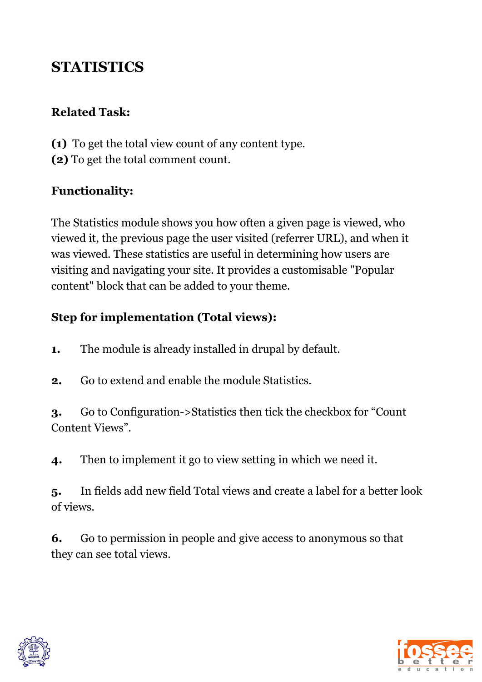# **STATISTICS**

#### **Related Task:**

**(1)** To get the total view count of any content type. **(2)** To get the total comment count.

### **Functionality:**

The Statistics module shows you how often a given page is viewed, who viewed it, the previous page the user visited (referrer URL), and when it was viewed. These statistics are useful in determining how users are visiting and navigating your site. It provides a customisable "Popular content" block that can be added to your theme.

### **Step for implementation (Total views):**

**1.** The module is already installed in drupal by default.

**2.** Go to extend and enable the module Statistics.

**3.** Go to Configuration->Statistics then tick the checkbox for "Count Content Views".

**4.** Then to implement it go to view setting in which we need it.

**5.** In fields add new field Total views and create a label for a better look of views.

**6.** Go to permission in people and give access to anonymous so that they can see total views.



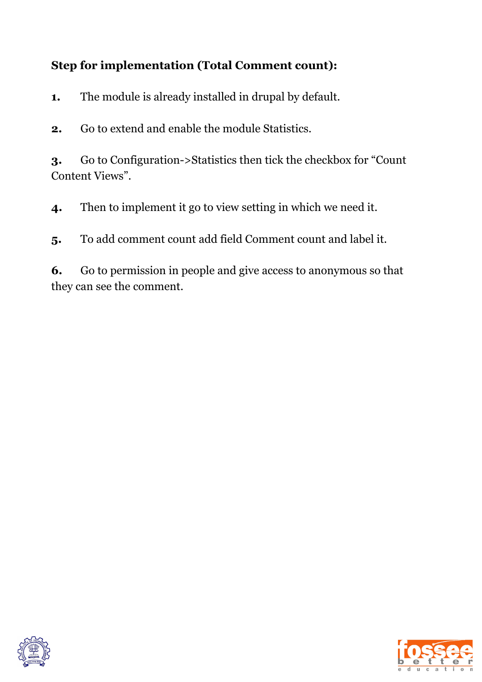## **Step for implementation (Total Comment count):**

**1.** The module is already installed in drupal by default.

**2.** Go to extend and enable the module Statistics.

**3.** Go to Configuration->Statistics then tick the checkbox for "Count Content Views".

**4.** Then to implement it go to view setting in which we need it.

**5.** To add comment count add field Comment count and label it.

**6.** Go to permission in people and give access to anonymous so that they can see the comment.



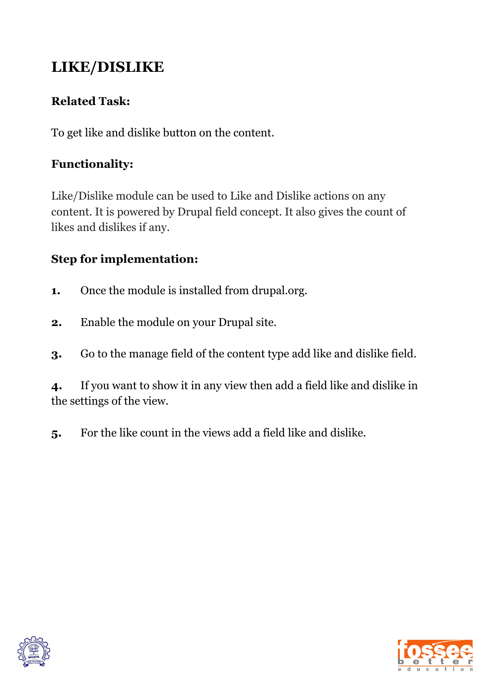# **LIKE/DISLIKE**

## **Related Task:**

To get like and dislike button on the content.

## **Functionality:**

Like/Dislike module can be used to Like and Dislike actions on any content. It is powered by Drupal field concept. It also gives the count of likes and dislikes if any.

## **Step for implementation:**

- **1.** Once the module is installed from drupal.org.
- **2.** Enable the module on your Drupal site.
- **3.** Go to the manage field of the content type add like and dislike field.

**4.** If you want to show it in any view then add a field like and dislike in the settings of the view.

**5.** For the like count in the views add a field like and dislike.



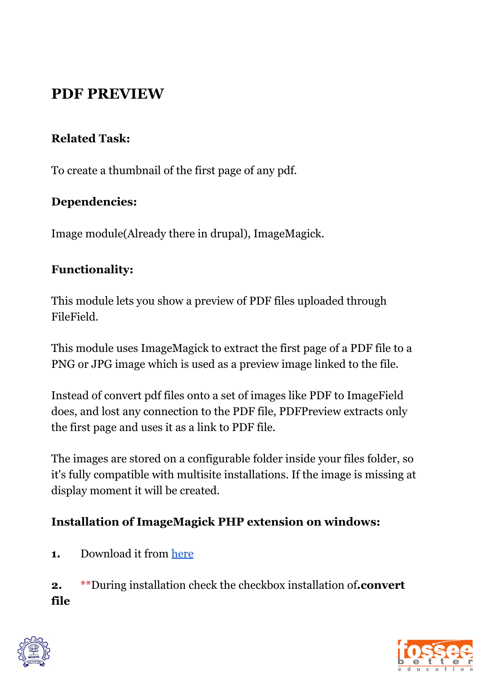# **PDF PREVIEW**

### **Related Task:**

To create a thumbnail of the first page of any pdf.

#### **Dependencies:**

Image module(Already there in drupal), ImageMagick.

#### **Functionality:**

This module lets you show a preview of PDF files uploaded through FileField.

This module uses ImageMagick to extract the first page of a PDF file to a PNG or JPG image which is used as a preview image linked to the file.

Instead of convert pdf files onto a set of images like PDF to ImageField does, and lost any connection to the PDF file, PDFPreview extracts only the first page and uses it as a link to PDF file.

The images are stored on a configurable folder inside your files folder, so it's fully compatible with multisite installations. If the image is missing at display moment it will be created.

### **Installation of ImageMagick PHP extension on windows:**

**1.** Download it from [here](https://imagemagick.org/script/download.php)

**2.** \*\*During installation check the checkbox installation of**.convert file**



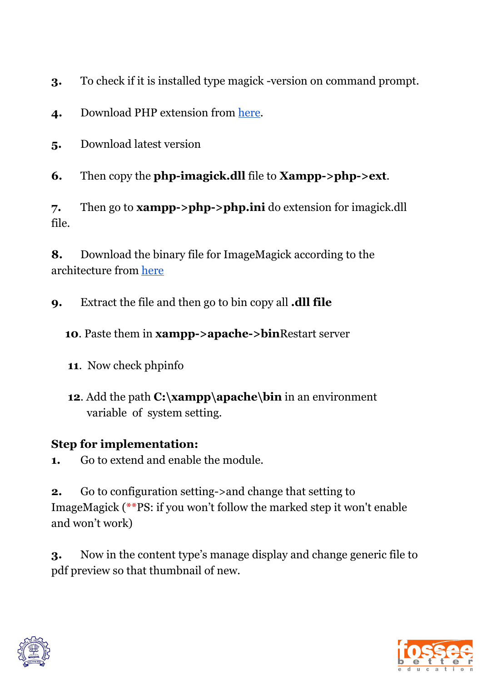**3.** To check if it is installed type magick -version on command prompt.

- **4.** Download PHP extension from [here](http://pecl.php.net/package/imagick)*.*
- **5.** Download latest version
- **6.** Then copy the **php-imagick.dll** file to **Xampp->php->ext**.

**7.** Then go to **xampp->php->php.ini** do extension for imagick.dll file.

**8.** Download the binary file for ImageMagick according to the architecture from [here](https://windows.php.net/downloads/pecl/deps/)

**9.** Extract the file and then go to bin copy all **.dll file**

**10**. Paste them in **xampp->apache->bin**Restart server

- **11**. Now check phpinfo
- **12**. Add the path **C:\xampp\apache\bin** in an environment variable of system setting.

### **Step for implementation:**

**1.** Go to extend and enable the module.

**2.** Go to configuration setting->and change that setting to ImageMagick (\*\*PS: if you won't follow the marked step it won't enable and won't work)

**3.** Now in the content type's manage display and change generic file to pdf preview so that thumbnail of new.



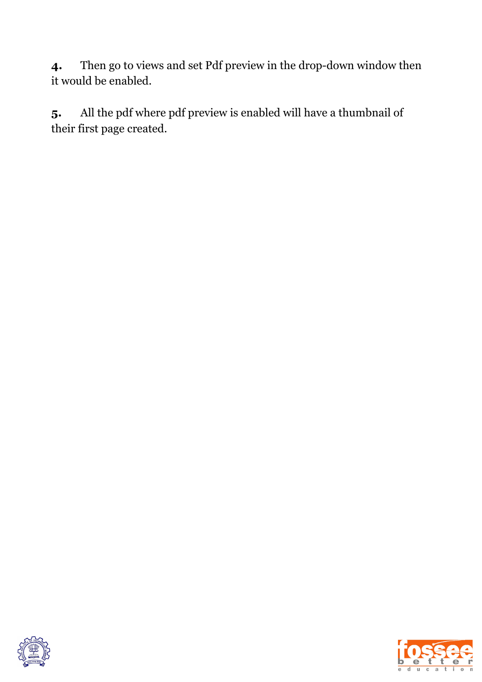**4.** Then go to views and set Pdf preview in the drop-down window then it would be enabled.

**5.** All the pdf where pdf preview is enabled will have a thumbnail of their first page created.



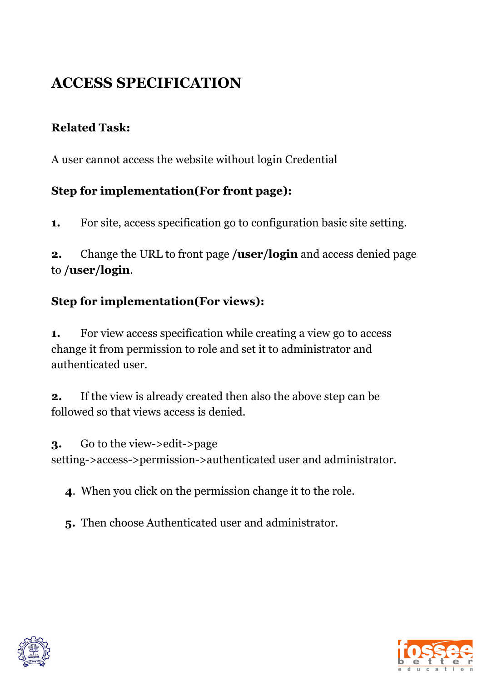# **ACCESS SPECIFICATION**

### **Related Task:**

A user cannot access the website without login Credential

#### **Step for implementation(For front page):**

**1.** For site, access specification go to configuration basic site setting.

**2.** Change the URL to front page **/user/login** and access denied page to **/user/login**.

### **Step for implementation(For views):**

**1.** For view access specification while creating a view go to access change it from permission to role and set it to administrator and authenticated user.

**2.** If the view is already created then also the above step can be followed so that views access is denied.

**3.** Go to the view->edit->page setting->access->permission->authenticated user and administrator.

**4**. When you click on the permission change it to the role.

**5.** Then choose Authenticated user and administrator.



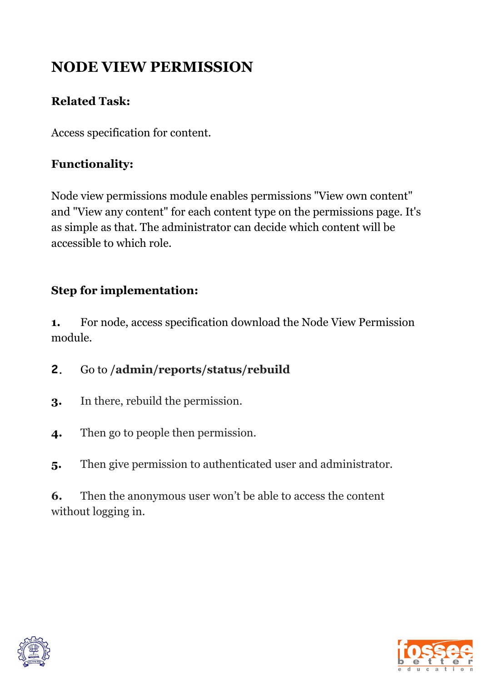# **NODE VIEW PERMISSION**

### **Related Task:**

Access specification for content.

## **Functionality:**

Node view permissions module enables permissions "View own content" and "View any content" for each content type on the permissions page. It's as simple as that. The administrator can decide which content will be accessible to which role.

## **Step for implementation:**

**1.** For node, access specification download the Node View Permission module.

**2.** Go to **/admin/reports/status/rebuild**

- **3.** In there, rebuild the permission.
- **4.** Then go to people then permission.
- **5.** Then give permission to authenticated user and administrator.

**6.** Then the anonymous user won't be able to access the content without logging in.



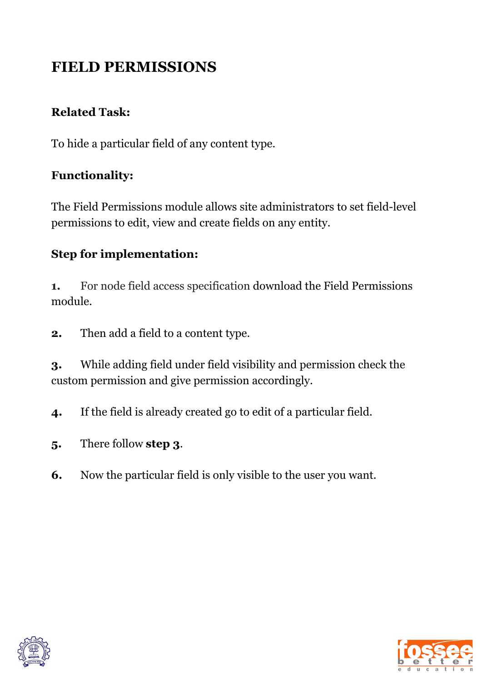# **FIELD PERMISSIONS**

### **Related Task:**

To hide a particular field of any content type.

#### **Functionality:**

The Field Permissions module allows site administrators to set field-level permissions to edit, view and create fields on any entity.

### **Step for implementation:**

**1.** For node field access specification download the Field Permissions module.

**2.** Then add a field to a content type.

**3.** While adding field under field visibility and permission check the custom permission and give permission accordingly.

**4.** If the field is already created go to edit of a particular field.

- **5.** There follow **step 3**.
- **6.** Now the particular field is only visible to the user you want.



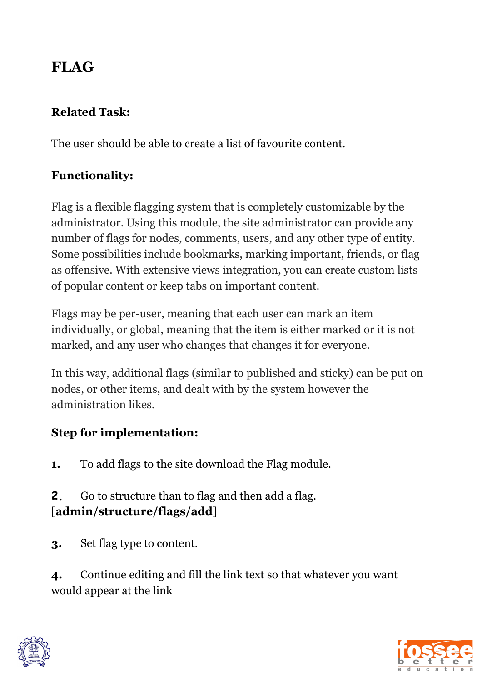# **FLAG**

### **Related Task:**

The user should be able to create a list of favourite content.

## **Functionality:**

Flag is a flexible flagging system that is completely customizable by the administrator. Using this module, the site administrator can provide any number of flags for nodes, comments, users, and any other type of entity. Some possibilities include bookmarks, marking important, friends, or flag as offensive. With extensive views integration, you can create custom lists of popular content or keep tabs on important content.

Flags may be per-user, meaning that each user can mark an item individually, or global, meaning that the item is either marked or it is not marked, and any user who changes that changes it for everyone.

In this way, additional flags (similar to published and sticky) can be put on nodes, or other items, and dealt with by the system however the administration likes.

# **Step for implementation:**

**1.** To add flags to the site download the Flag module.

**2.** Go to structure than to flag and then add a flag. [**admin/structure/flags/add**]

**3.** Set flag type to content.

**4.** Continue editing and fill the link text so that whatever you want would appear at the link



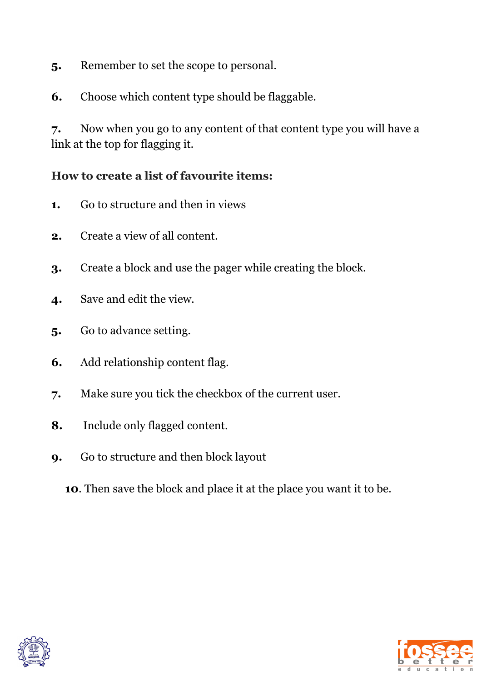- **5.** Remember to set the scope to personal.
- **6.** Choose which content type should be flaggable.

**7.** Now when you go to any content of that content type you will have a link at the top for flagging it.

#### **How to create a list of favourite items:**

- **1.** Go to structure and then in views
- **2.** Create a view of all content.
- **3.** Create a block and use the pager while creating the block.
- **4.** Save and edit the view.
- **5.** Go to advance setting.
- **6.** Add relationship content flag.
- **7.** Make sure you tick the checkbox of the current user.
- **8.** Include only flagged content.
- **9.** Go to structure and then block layout
	- **10**. Then save the block and place it at the place you want it to be.



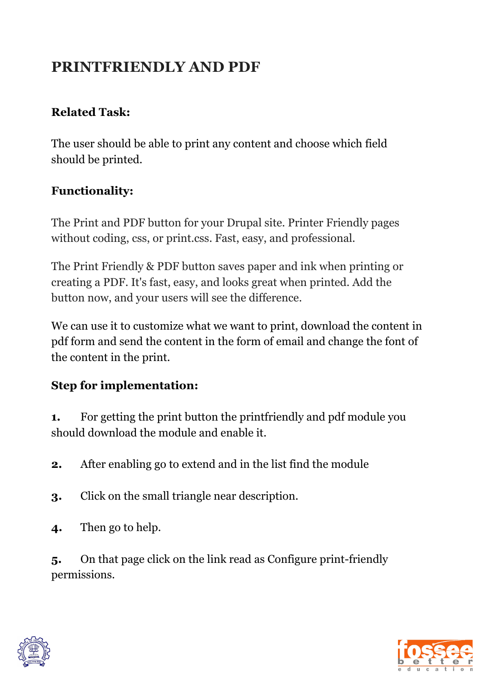# **PRINTFRIENDLY AND PDF**

### **Related Task:**

The user should be able to print any content and choose which field should be printed.

## **Functionality:**

The Print and PDF button for your Drupal site. Printer Friendly pages without coding, css, or print.css. Fast, easy, and professional.

The Print Friendly & PDF button saves paper and ink when printing or creating a PDF. It's fast, easy, and looks great when printed. Add the button now, and your users will see the difference.

We can use it to customize what we want to print, download the content in pdf form and send the content in the form of email and change the font of the content in the print.

## **Step for implementation:**

**1.** For getting the print button the printfriendly and pdf module you should download the module and enable it.

**2.** After enabling go to extend and in the list find the module

- **3.** Click on the small triangle near description.
- **4.** Then go to help.

**5.** On that page click on the link read as Configure print-friendly permissions.



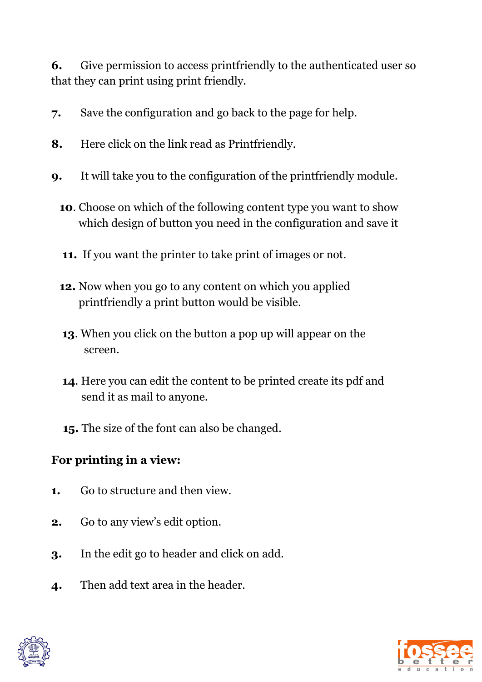**6.** Give permission to access printfriendly to the authenticated user so that they can print using print friendly.

- **7.** Save the configuration and go back to the page for help.
- **8.** Here click on the link read as Printfriendly.
- **9.** It will take you to the configuration of the printfriendly module.
	- **10**. Choose on which of the following content type you want to show which design of button you need in the configuration and save it
	- **11.** If you want the printer to take print of images or not.
	- **12.** Now when you go to any content on which you applied printfriendly a print button would be visible.
	- **13**. When you click on the button a pop up will appear on the screen.
	- **14**. Here you can edit the content to be printed create its pdf and send it as mail to anyone.
	- **15.** The size of the font can also be changed.

# **For printing in a view:**

- **1.** Go to structure and then view.
- **2.** Go to any view's edit option.
- **3.** In the edit go to header and click on add.
- **4.** Then add text area in the header.



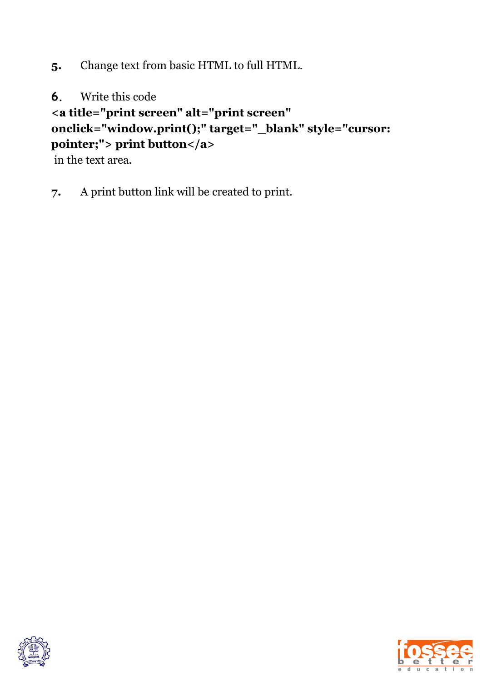**5.** Change text from basic HTML to full HTML.

**6.** Write this code

**<a title="print screen" alt="print screen"**

## **onclick="window.print();" target="\_blank" style="cursor: pointer;"> print button</a>**

in the text area.

**7.** A print button link will be created to print.



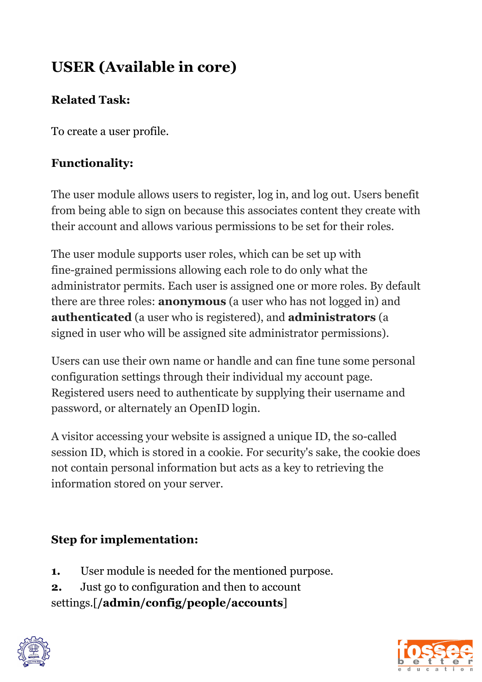# **USER (Available in core)**

# **Related Task:**

To create a user profile.

# **Functionality:**

The user module allows users to register, log in, and log out. Users benefit from being able to sign on because this associates content they create with their account and allows various permissions to be set for their roles.

The user module supports user roles, which can be set up with fine-grained permissions allowing each role to do only what the administrator permits. Each user is assigned one or more roles. By default there are three roles: **anonymous** (a user who has not logged in) and **authenticated** (a user who is registered), and **administrators** (a signed in user who will be assigned site administrator permissions).

Users can use their own name or handle and can fine tune some personal configuration settings through their individual my account page. Registered users need to authenticate by supplying their username and password, or alternately an OpenID login.

A visitor accessing your website is assigned a unique ID, the so-called session ID, which is stored in a cookie. For security's sake, the cookie does not contain personal information but acts as a key to retrieving the information stored on your server.

# **Step for implementation:**

- **1.** User module is needed for the mentioned purpose.
- **2.** Just go to configuration and then to account settings.[**/admin/config/people/accounts**]



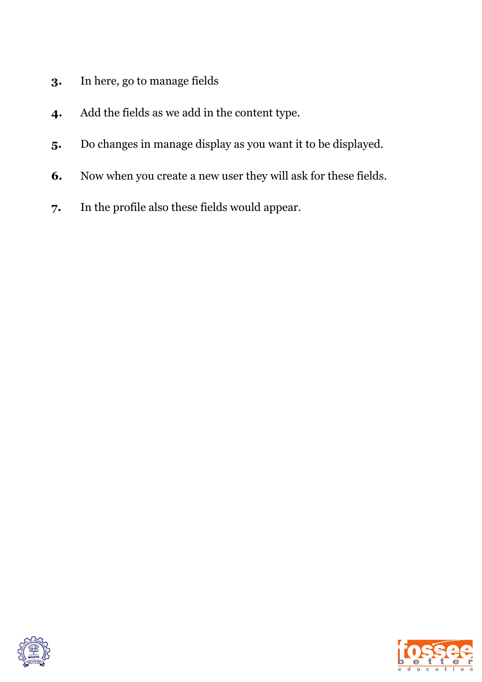- **3.** In here, go to manage fields
- **4.** Add the fields as we add in the content type.
- **5.** Do changes in manage display as you want it to be displayed.
- **6.** Now when you create a new user they will ask for these fields.
- **7.** In the profile also these fields would appear.



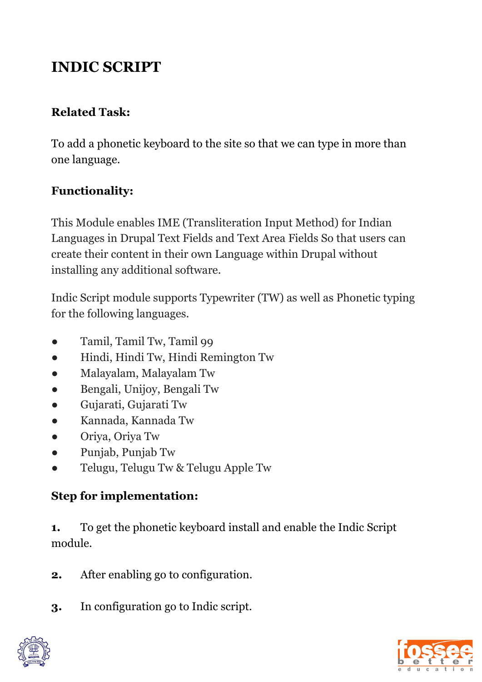# **INDIC SCRIPT**

## **Related Task:**

To add a phonetic keyboard to the site so that we can type in more than one language.

## **Functionality:**

This Module enables IME (Transliteration Input Method) for Indian Languages in Drupal Text Fields and Text Area Fields So that users can create their content in their own Language within Drupal without installing any additional software.

Indic Script module supports Typewriter (TW) as well as Phonetic typing for the following languages.

- Tamil, Tamil Tw, Tamil 99
- Hindi, Hindi Tw, Hindi Remington Tw
- Malayalam, Malayalam Tw
- Bengali, Unijoy, Bengali Tw
- Gujarati, Gujarati Tw
- Kannada, Kannada Tw
- Oriya, Oriya Tw
- Punjab, Punjab Tw
- Telugu, Telugu Tw & Telugu Apple Tw

# **Step for implementation:**

**1.** To get the phonetic keyboard install and enable the Indic Script module.

- **2.** After enabling go to configuration.
- **3.** In configuration go to Indic script.



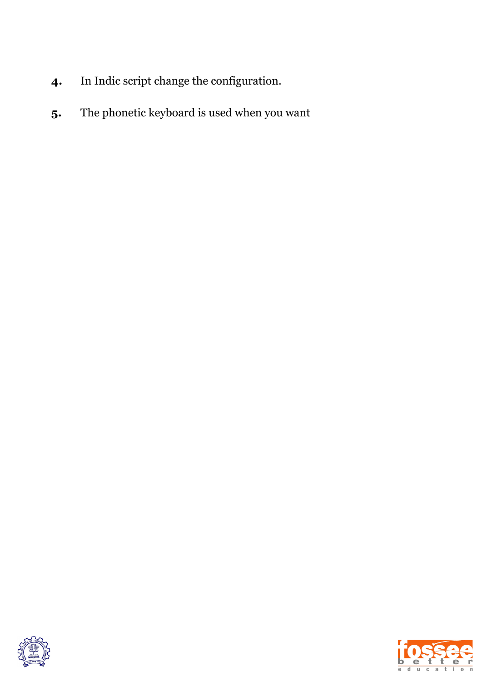- **4.** In Indic script change the configuration.
- **5.** The phonetic keyboard is used when you want



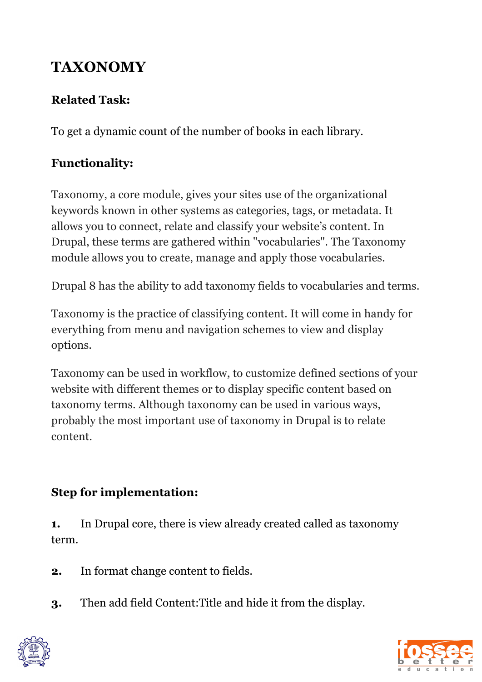# **TAXONOMY**

## **Related Task:**

To get a dynamic count of the number of books in each library.

# **Functionality:**

Taxonomy, a core module, gives your sites use of the organizational keywords known in other systems as categories, tags, or metadata. It allows you to connect, relate and classify your website's content. In Drupal, these terms are gathered within "vocabularies". The Taxonomy module allows you to create, manage and apply those vocabularies.

Drupal 8 has the ability to add taxonomy fields to vocabularies and terms.

Taxonomy is the practice of classifying content. It will come in handy for everything from menu and navigation schemes to view and display options.

Taxonomy can be used in workflow, to customize defined sections of your website with different themes or to display specific content based on taxonomy terms. Although taxonomy can be used in various ways, probably the most important use of taxonomy in Drupal is to relate content.

## **Step for implementation:**

**1.** In Drupal core, there is view already created called as taxonomy term.

**2.** In format change content to fields.

**3.** Then add field Content:Title and hide it from the display.



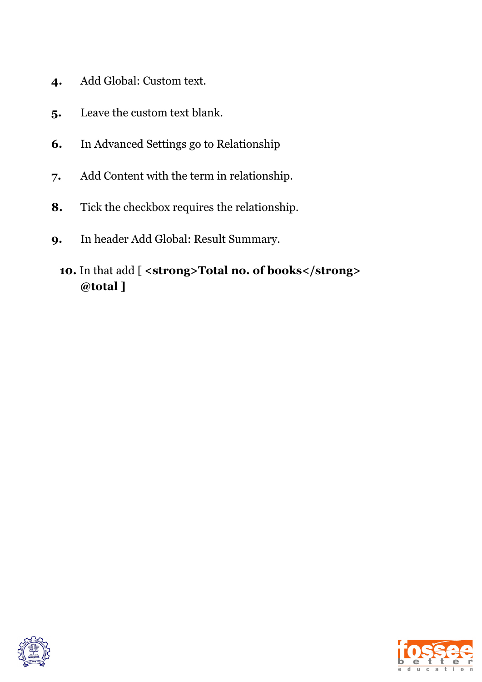- **4.** Add Global: Custom text.
- **5.** Leave the custom text blank.
- **6.** In Advanced Settings go to Relationship
- **7.** Add Content with the term in relationship.
- **8.** Tick the checkbox requires the relationship.
- **9.** In header Add Global: Result Summary.

## **10.** In that add [ **<strong>Total no. of books</strong> @total ]**



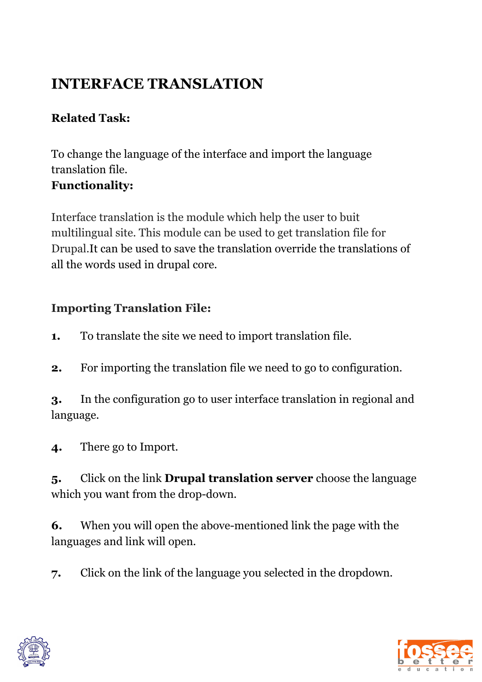# **INTERFACE TRANSLATION**

## **Related Task:**

To change the language of the interface and import the language translation file. **Functionality:**

Interface translation is the module which help the user to buit multilingual site. This module can be used to get translation file for Drupal.It can be used to save the translation override the translations of all the words used in drupal core.

## **Importing Translation File:**

**1.** To translate the site we need to import translation file.

**2.** For importing the translation file we need to go to configuration.

**3.** In the configuration go to user interface translation in regional and language.

**4.** There go to Import.

**5.** Click on the link **Drupal translation server** choose the language which you want from the drop-down.

**6.** When you will open the above-mentioned link the page with the languages and link will open.

**7.** Click on the link of the language you selected in the dropdown.



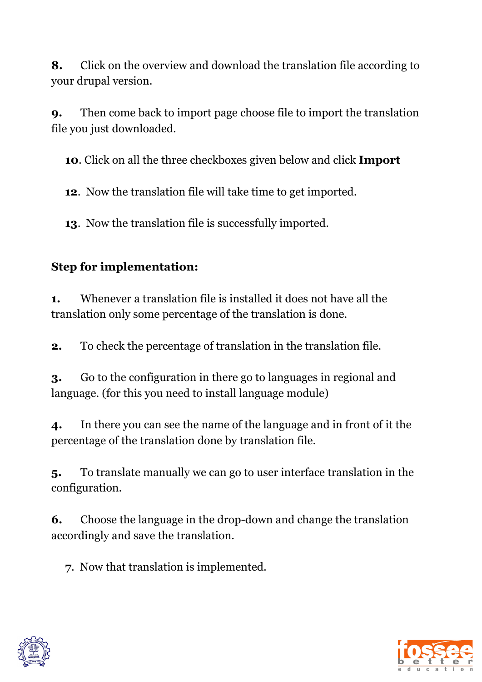**8.** Click on the overview and download the translation file according to your drupal version.

**9.** Then come back to import page choose file to import the translation file you just downloaded.

**10**. Click on all the three checkboxes given below and click **Import**

**12**. Now the translation file will take time to get imported.

**13**. Now the translation file is successfully imported.

# **Step for implementation:**

**1.** Whenever a translation file is installed it does not have all the translation only some percentage of the translation is done.

**2.** To check the percentage of translation in the translation file.

**3.** Go to the configuration in there go to languages in regional and language. (for this you need to install language module)

**4.** In there you can see the name of the language and in front of it the percentage of the translation done by translation file.

**5.** To translate manually we can go to user interface translation in the configuration.

**6.** Choose the language in the drop-down and change the translation accordingly and save the translation.

**7**. Now that translation is implemented.



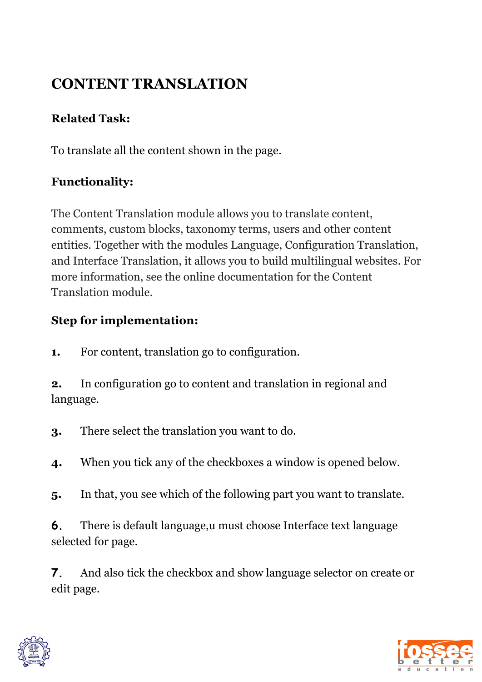# **CONTENT TRANSLATION**

## **Related Task:**

To translate all the content shown in the page.

## **Functionality:**

The Content Translation module allows you to translate content, comments, custom blocks, taxonomy terms, users and other content entities. Together with the modules Language, Configuration Translation, and Interface Translation, it allows you to build multilingual websites. For more information, see the online documentation for the Content Translation module.

## **Step for implementation:**

**1.** For content, translation go to configuration.

**2.** In configuration go to content and translation in regional and language.

**3.** There select the translation you want to do.

**4.** When you tick any of the checkboxes a window is opened below.

**5.** In that, you see which of the following part you want to translate.

**6.** There is default language,u must choose Interface text language selected for page.

**7.** And also tick the checkbox and show language selector on create or edit page.



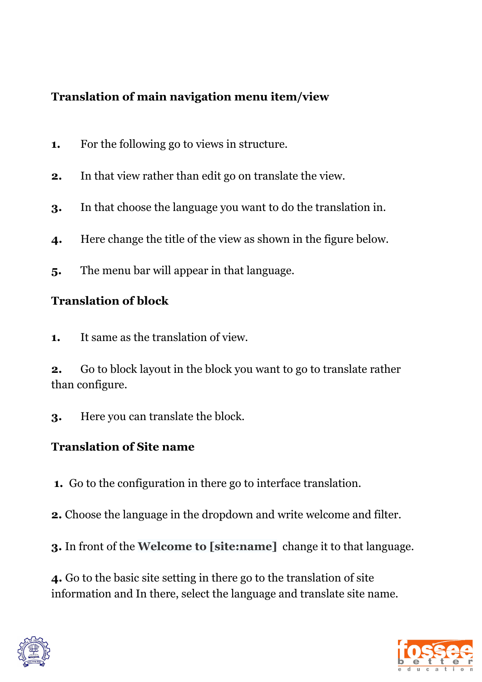## **Translation of main navigation menu item/view**

- **1.** For the following go to views in structure.
- **2.** In that view rather than edit go on translate the view.
- **3.** In that choose the language you want to do the translation in.
- **4.** Here change the title of the view as shown in the figure below.
- **5.** The menu bar will appear in that language.

## **Translation of block**

**1.** It same as the translation of view.

**2.** Go to block layout in the block you want to go to translate rather than configure.

**3.** Here you can translate the block.

## **Translation of Site name**

- **1.** Go to the configuration in there go to interface translation.
- **2.** Choose the language in the dropdown and write welcome and filter.
- **3.** In front of the **Welcome to [site:name]** change it to that language.

**4.** Go to the basic site setting in there go to the translation of site information and In there, select the language and translate site name.



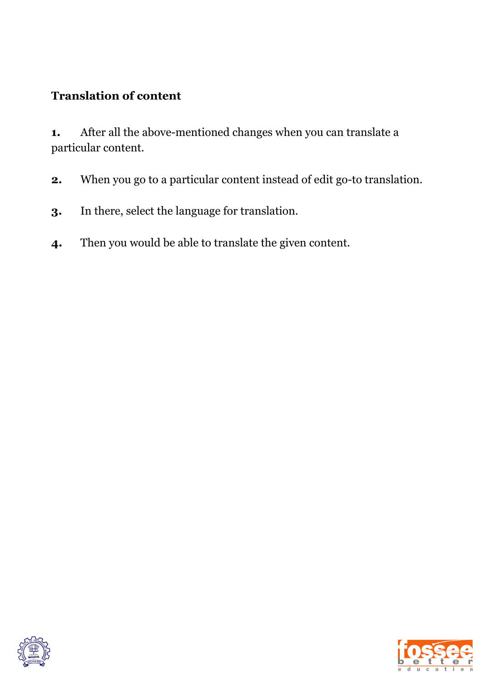### **Translation of content**

**1.** After all the above-mentioned changes when you can translate a particular content.

- **2.** When you go to a particular content instead of edit go-to translation.
- **3.** In there, select the language for translation.
- **4.** Then you would be able to translate the given content.



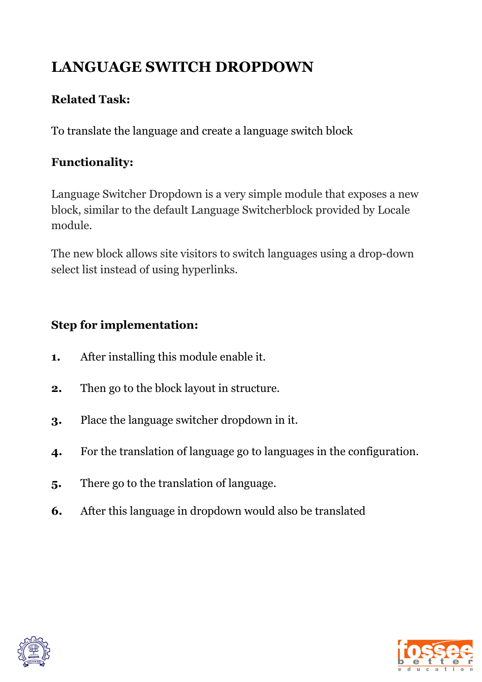# **LANGUAGE SWITCH DROPDOWN**

## **Related Task:**

To translate the language and create a language switch block

## **Functionality:**

Language Switcher Dropdown is a very simple module that exposes a new block, similar to the default Language Switcherblock provided by Locale module.

The new block allows site visitors to switch languages using a drop-down select list instead of using hyperlinks.

## **Step for implementation:**

- **1.** After installing this module enable it.
- **2.** Then go to the block layout in structure.
- **3.** Place the language switcher dropdown in it.
- **4.** For the translation of language go to languages in the configuration.
- **5.** There go to the translation of language.
- **6.** After this language in dropdown would also be translated